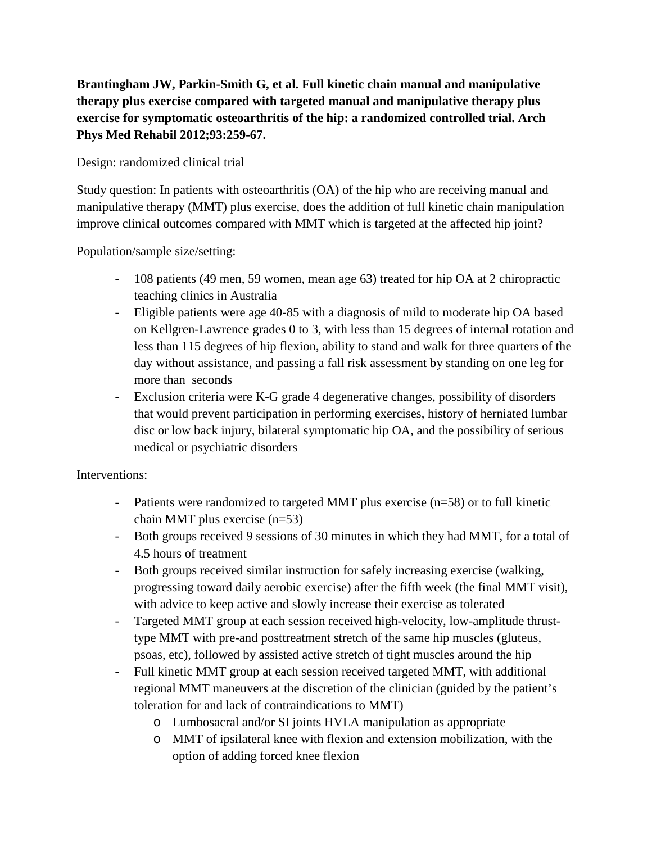**Brantingham JW, Parkin-Smith G, et al. Full kinetic chain manual and manipulative therapy plus exercise compared with targeted manual and manipulative therapy plus exercise for symptomatic osteoarthritis of the hip: a randomized controlled trial. Arch Phys Med Rehabil 2012;93:259-67.**

Design: randomized clinical trial

Study question: In patients with osteoarthritis (OA) of the hip who are receiving manual and manipulative therapy (MMT) plus exercise, does the addition of full kinetic chain manipulation improve clinical outcomes compared with MMT which is targeted at the affected hip joint?

Population/sample size/setting:

- 108 patients (49 men, 59 women, mean age 63) treated for hip OA at 2 chiropractic teaching clinics in Australia
- Eligible patients were age 40-85 with a diagnosis of mild to moderate hip OA based on Kellgren-Lawrence grades 0 to 3, with less than 15 degrees of internal rotation and less than 115 degrees of hip flexion, ability to stand and walk for three quarters of the day without assistance, and passing a fall risk assessment by standing on one leg for more than seconds
- Exclusion criteria were K-G grade 4 degenerative changes, possibility of disorders that would prevent participation in performing exercises, history of herniated lumbar disc or low back injury, bilateral symptomatic hip OA, and the possibility of serious medical or psychiatric disorders

Interventions:

- Patients were randomized to targeted MMT plus exercise (n=58) or to full kinetic chain MMT plus exercise (n=53)
- Both groups received 9 sessions of 30 minutes in which they had MMT, for a total of 4.5 hours of treatment
- Both groups received similar instruction for safely increasing exercise (walking, progressing toward daily aerobic exercise) after the fifth week (the final MMT visit), with advice to keep active and slowly increase their exercise as tolerated
- Targeted MMT group at each session received high-velocity, low-amplitude thrusttype MMT with pre-and posttreatment stretch of the same hip muscles (gluteus, psoas, etc), followed by assisted active stretch of tight muscles around the hip
- Full kinetic MMT group at each session received targeted MMT, with additional regional MMT maneuvers at the discretion of the clinician (guided by the patient's toleration for and lack of contraindications to MMT)
	- o Lumbosacral and/or SI joints HVLA manipulation as appropriate
	- o MMT of ipsilateral knee with flexion and extension mobilization, with the option of adding forced knee flexion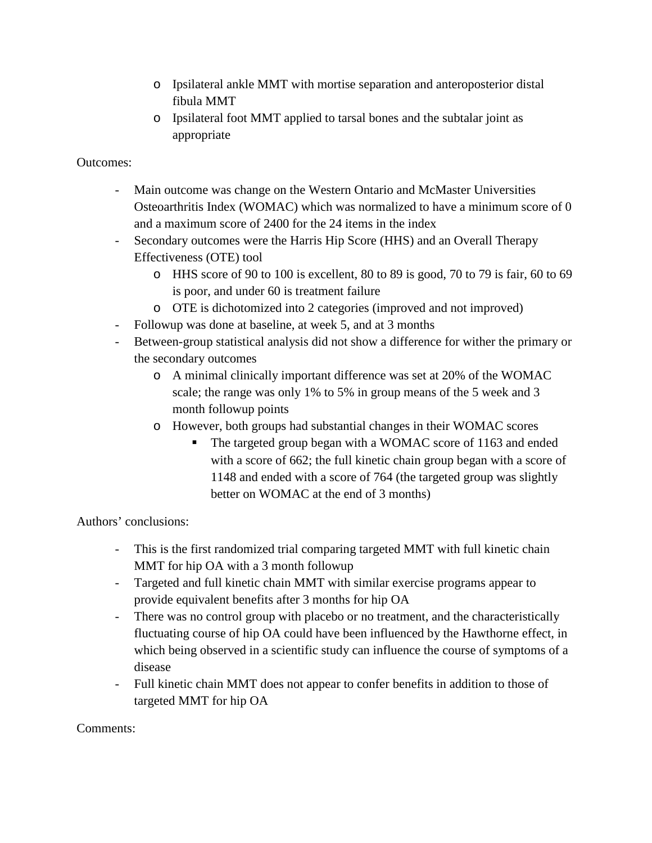- o Ipsilateral ankle MMT with mortise separation and anteroposterior distal fibula MMT
- o Ipsilateral foot MMT applied to tarsal bones and the subtalar joint as appropriate

Outcomes:

- Main outcome was change on the Western Ontario and McMaster Universities Osteoarthritis Index (WOMAC) which was normalized to have a minimum score of 0 and a maximum score of 2400 for the 24 items in the index
- Secondary outcomes were the Harris Hip Score (HHS) and an Overall Therapy Effectiveness (OTE) tool
	- o HHS score of 90 to 100 is excellent, 80 to 89 is good, 70 to 79 is fair, 60 to 69 is poor, and under 60 is treatment failure
	- o OTE is dichotomized into 2 categories (improved and not improved)
- Followup was done at baseline, at week 5, and at 3 months
- Between-group statistical analysis did not show a difference for wither the primary or the secondary outcomes
	- o A minimal clinically important difference was set at 20% of the WOMAC scale; the range was only 1% to 5% in group means of the 5 week and 3 month followup points
	- o However, both groups had substantial changes in their WOMAC scores
		- The targeted group began with a WOMAC score of 1163 and ended with a score of 662; the full kinetic chain group began with a score of 1148 and ended with a score of 764 (the targeted group was slightly better on WOMAC at the end of 3 months)

Authors' conclusions:

- This is the first randomized trial comparing targeted MMT with full kinetic chain MMT for hip OA with a 3 month followup
- Targeted and full kinetic chain MMT with similar exercise programs appear to provide equivalent benefits after 3 months for hip OA
- There was no control group with placebo or no treatment, and the characteristically fluctuating course of hip OA could have been influenced by the Hawthorne effect, in which being observed in a scientific study can influence the course of symptoms of a disease
- Full kinetic chain MMT does not appear to confer benefits in addition to those of targeted MMT for hip OA

Comments: